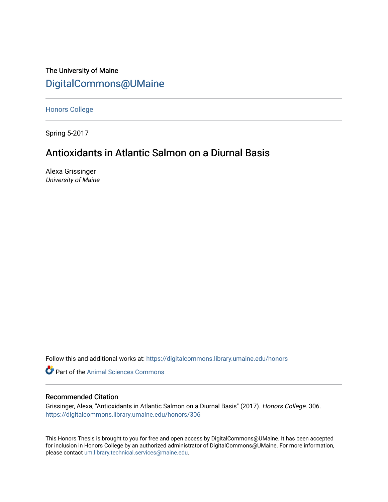The University of Maine [DigitalCommons@UMaine](https://digitalcommons.library.umaine.edu/)

[Honors College](https://digitalcommons.library.umaine.edu/honors)

Spring 5-2017

## Antioxidants in Atlantic Salmon on a Diurnal Basis

Alexa Grissinger University of Maine

Follow this and additional works at: [https://digitalcommons.library.umaine.edu/honors](https://digitalcommons.library.umaine.edu/honors?utm_source=digitalcommons.library.umaine.edu%2Fhonors%2F306&utm_medium=PDF&utm_campaign=PDFCoverPages) 

**Part of the Animal Sciences Commons** 

#### Recommended Citation

Grissinger, Alexa, "Antioxidants in Atlantic Salmon on a Diurnal Basis" (2017). Honors College. 306. [https://digitalcommons.library.umaine.edu/honors/306](https://digitalcommons.library.umaine.edu/honors/306?utm_source=digitalcommons.library.umaine.edu%2Fhonors%2F306&utm_medium=PDF&utm_campaign=PDFCoverPages) 

This Honors Thesis is brought to you for free and open access by DigitalCommons@UMaine. It has been accepted for inclusion in Honors College by an authorized administrator of DigitalCommons@UMaine. For more information, please contact [um.library.technical.services@maine.edu.](mailto:um.library.technical.services@maine.edu)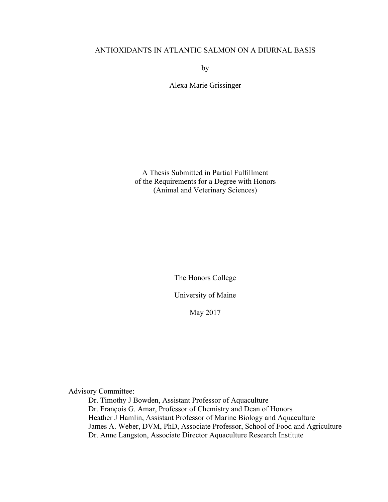#### ANTIOXIDANTS IN ATLANTIC SALMON ON A DIURNAL BASIS

by

Alexa Marie Grissinger

A Thesis Submitted in Partial Fulfillment of the Requirements for a Degree with Honors (Animal and Veterinary Sciences)

The Honors College

University of Maine

May 2017

Advisory Committee:

Dr. Timothy J Bowden, Assistant Professor of Aquaculture Dr. François G. Amar, Professor of Chemistry and Dean of Honors Heather J Hamlin, Assistant Professor of Marine Biology and Aquaculture James A. Weber, DVM, PhD, Associate Professor, School of Food and Agriculture Dr. Anne Langston, Associate Director Aquaculture Research Institute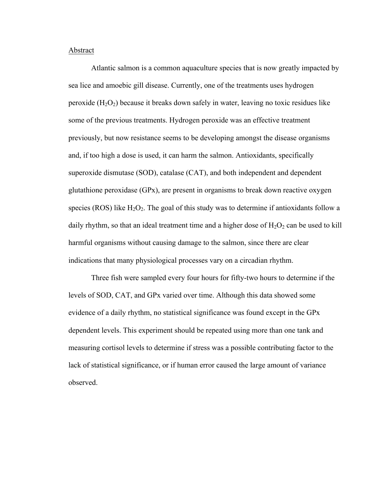#### Abstract

Atlantic salmon is a common aquaculture species that is now greatly impacted by sea lice and amoebic gill disease. Currently, one of the treatments uses hydrogen peroxide  $(H_2O_2)$  because it breaks down safely in water, leaving no toxic residues like some of the previous treatments. Hydrogen peroxide was an effective treatment previously, but now resistance seems to be developing amongst the disease organisms and, if too high a dose is used, it can harm the salmon. Antioxidants, specifically superoxide dismutase (SOD), catalase (CAT), and both independent and dependent glutathione peroxidase (GPx), are present in organisms to break down reactive oxygen species (ROS) like  $H_2O_2$ . The goal of this study was to determine if antioxidants follow a daily rhythm, so that an ideal treatment time and a higher dose of  $H_2O_2$  can be used to kill harmful organisms without causing damage to the salmon, since there are clear indications that many physiological processes vary on a circadian rhythm.

Three fish were sampled every four hours for fifty-two hours to determine if the levels of SOD, CAT, and GPx varied over time. Although this data showed some evidence of a daily rhythm, no statistical significance was found except in the GPx dependent levels. This experiment should be repeated using more than one tank and measuring cortisol levels to determine if stress was a possible contributing factor to the lack of statistical significance, or if human error caused the large amount of variance observed.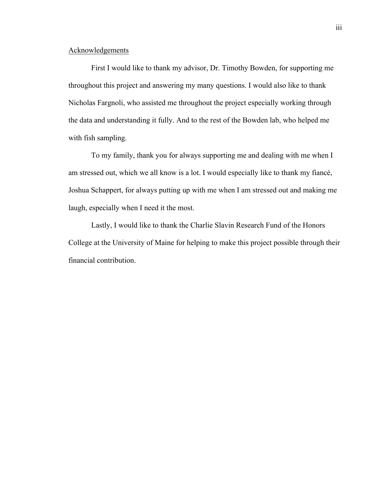#### Acknowledgements

First I would like to thank my advisor, Dr. Timothy Bowden, for supporting me throughout this project and answering my many questions. I would also like to thank Nicholas Fargnoli, who assisted me throughout the project especially working through the data and understanding it fully. And to the rest of the Bowden lab, who helped me with fish sampling.

To my family, thank you for always supporting me and dealing with me when I am stressed out, which we all know is a lot. I would especially like to thank my fiancé, Joshua Schappert, for always putting up with me when I am stressed out and making me laugh, especially when I need it the most.

Lastly, I would like to thank the Charlie Slavin Research Fund of the Honors College at the University of Maine for helping to make this project possible through their financial contribution.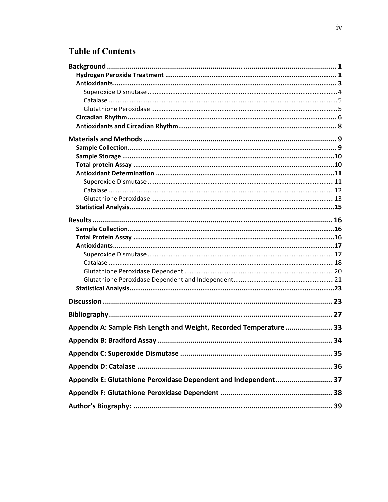# **Table of Contents**

| Appendix A: Sample Fish Length and Weight, Recorded Temperature  33 |  |
|---------------------------------------------------------------------|--|
|                                                                     |  |
|                                                                     |  |
|                                                                     |  |
| Appendix E: Glutathione Peroxidase Dependent and Independent 37     |  |
|                                                                     |  |
|                                                                     |  |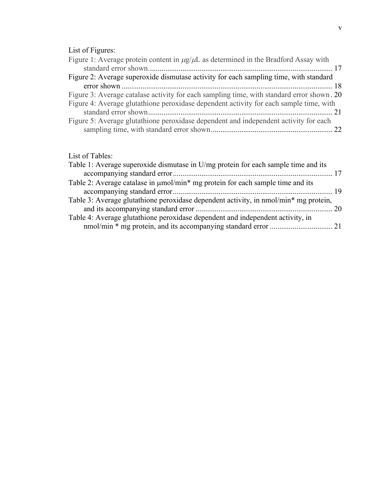## List of Figures:

| LISTOI FIGUIES.                                                                                |  |
|------------------------------------------------------------------------------------------------|--|
| Figure 1: Average protein content in $\mu$ g/ $\mu$ L as determined in the Bradford Assay with |  |
|                                                                                                |  |
| Figure 2: Average superoxide dismutase activity for each sampling time, with standard          |  |
|                                                                                                |  |
| Figure 3: Average catalase activity for each sampling time, with standard error shown. 20      |  |
| Figure 4: Average glutathione peroxidase dependent activity for each sample time, with         |  |
|                                                                                                |  |
| Figure 5: Average glutathione peroxidase dependent and independent activity for each           |  |
|                                                                                                |  |
|                                                                                                |  |

## List of Tables:

| Table 1: Average superoxide dismutase in U/mg protein for each sample time and its   |  |
|--------------------------------------------------------------------------------------|--|
|                                                                                      |  |
| Table 2: Average catalase in $\mu$ mol/min* mg protein for each sample time and its  |  |
|                                                                                      |  |
| Table 3: Average glutathione peroxidase dependent activity, in nmol/min* mg protein, |  |
|                                                                                      |  |
| Table 4: Average glutathione peroxidase dependent and independent activity, in       |  |
|                                                                                      |  |
|                                                                                      |  |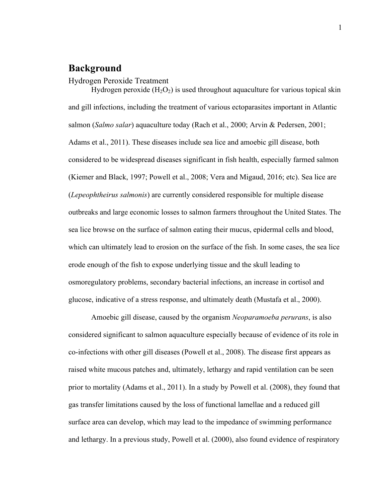## **Background**

Hydrogen Peroxide Treatment

Hydrogen peroxide  $(H_2O_2)$  is used throughout aquaculture for various topical skin and gill infections, including the treatment of various ectoparasites important in Atlantic salmon (*Salmo salar*) aquaculture today (Rach et al., 2000; Arvin & Pedersen, 2001; Adams et al., 2011). These diseases include sea lice and amoebic gill disease, both considered to be widespread diseases significant in fish health, especially farmed salmon (Kiemer and Black, 1997; Powell et al., 2008; Vera and Migaud, 2016; etc). Sea lice are (*Lepeophtheirus salmonis*) are currently considered responsible for multiple disease outbreaks and large economic losses to salmon farmers throughout the United States. The sea lice browse on the surface of salmon eating their mucus, epidermal cells and blood, which can ultimately lead to erosion on the surface of the fish. In some cases, the sea lice erode enough of the fish to expose underlying tissue and the skull leading to osmoregulatory problems, secondary bacterial infections, an increase in cortisol and glucose, indicative of a stress response, and ultimately death (Mustafa et al., 2000).

Amoebic gill disease, caused by the organism *Neoparamoeba perurans*, is also considered significant to salmon aquaculture especially because of evidence of its role in co-infections with other gill diseases (Powell et al., 2008). The disease first appears as raised white mucous patches and, ultimately, lethargy and rapid ventilation can be seen prior to mortality (Adams et al., 2011). In a study by Powell et al. (2008), they found that gas transfer limitations caused by the loss of functional lamellae and a reduced gill surface area can develop, which may lead to the impedance of swimming performance and lethargy. In a previous study, Powell et al. (2000), also found evidence of respiratory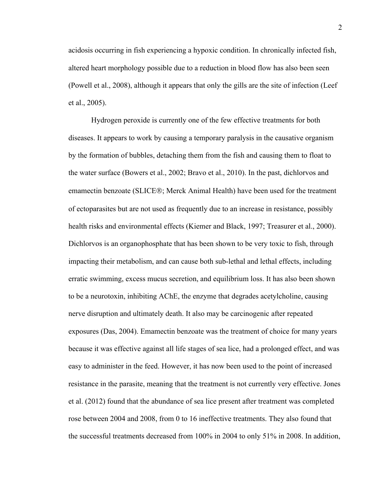acidosis occurring in fish experiencing a hypoxic condition. In chronically infected fish, altered heart morphology possible due to a reduction in blood flow has also been seen (Powell et al., 2008), although it appears that only the gills are the site of infection (Leef et al., 2005).

Hydrogen peroxide is currently one of the few effective treatments for both diseases. It appears to work by causing a temporary paralysis in the causative organism by the formation of bubbles, detaching them from the fish and causing them to float to the water surface (Bowers et al., 2002; Bravo et al., 2010). In the past, dichlorvos and emamectin benzoate (SLICE®; Merck Animal Health) have been used for the treatment of ectoparasites but are not used as frequently due to an increase in resistance, possibly health risks and environmental effects (Kiemer and Black, 1997; Treasurer et al., 2000). Dichlorvos is an organophosphate that has been shown to be very toxic to fish, through impacting their metabolism, and can cause both sub-lethal and lethal effects, including erratic swimming, excess mucus secretion, and equilibrium loss. It has also been shown to be a neurotoxin, inhibiting AChE, the enzyme that degrades acetylcholine, causing nerve disruption and ultimately death. It also may be carcinogenic after repeated exposures (Das, 2004). Emamectin benzoate was the treatment of choice for many years because it was effective against all life stages of sea lice, had a prolonged effect, and was easy to administer in the feed. However, it has now been used to the point of increased resistance in the parasite, meaning that the treatment is not currently very effective. Jones et al. (2012) found that the abundance of sea lice present after treatment was completed rose between 2004 and 2008, from 0 to 16 ineffective treatments. They also found that the successful treatments decreased from 100% in 2004 to only 51% in 2008. In addition,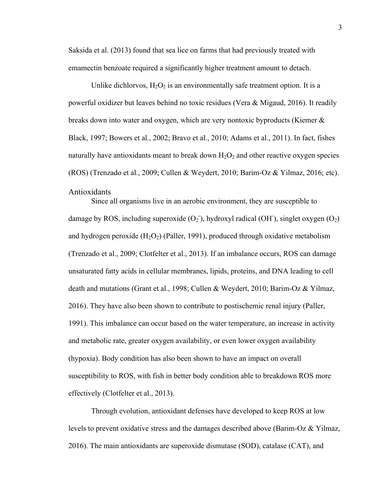Saksida et al. (2013) found that sea lice on farms that had previously treated with emamectin benzoate required a significantly higher treatment amount to detach.

Unlike dichlorvos,  $H_2O_2$  is an environmentally safe treatment option. It is a powerful oxidizer but leaves behind no toxic residues (Vera & Migaud, 2016). It readily breaks down into water and oxygen, which are very nontoxic byproducts (Kiemer & Black, 1997; Bowers et al., 2002; Bravo et al., 2010; Adams et al., 2011). In fact, fishes naturally have antioxidants meant to break down  $H_2O_2$  and other reactive oxygen species (ROS) (Trenzado et al., 2009; Cullen & Weydert, 2010; Barim-Oz & Yilmaz, 2016; etc). Antioxidants

Since all organisms live in an aerobic environment, they are susceptible to damage by ROS, including superoxide  $(O_2)$ , hydroxyl radical  $(OH)$ , singlet oxygen  $(O_2)$ and hydrogen peroxide  $(H_2O_2)$  (Paller, 1991), produced through oxidative metabolism (Trenzado et al., 2009; Clotfelter et al., 2013). If an imbalance occurs, ROS can damage unsaturated fatty acids in cellular membranes, lipids, proteins, and DNA leading to cell death and mutations (Grant et al., 1998; Cullen & Weydert, 2010; Barim-Oz & Yilmaz, 2016). They have also been shown to contribute to postischemic renal injury (Paller, 1991). This imbalance can occur based on the water temperature, an increase in activity and metabolic rate, greater oxygen availability, or even lower oxygen availability (hypoxia). Body condition has also been shown to have an impact on overall susceptibility to ROS, with fish in better body condition able to breakdown ROS more effectively (Clotfelter et al., 2013).

Through evolution, antioxidant defenses have developed to keep ROS at low levels to prevent oxidative stress and the damages described above (Barim-Oz & Yilmaz, 2016). The main antioxidants are superoxide dismutase (SOD), catalase (CAT), and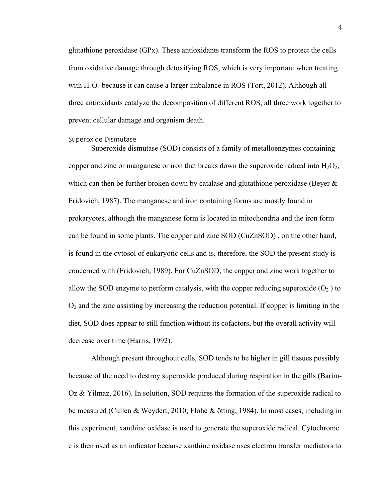glutathione peroxidase (GPx). These antioxidants transform the ROS to protect the cells from oxidative damage through detoxifying ROS, which is very important when treating with  $H_2O_2$  because it can cause a larger imbalance in ROS (Tort, 2012). Although all three antioxidants catalyze the decomposition of different ROS, all three work together to prevent cellular damage and organism death.

#### Superoxide Dismutase

Superoxide dismutase (SOD) consists of a family of metalloenzymes containing copper and zinc or manganese or iron that breaks down the superoxide radical into  $H_2O_2$ , which can then be further broken down by catalase and glutathione peroxidase (Beyer  $\&$ Fridovich, 1987). The manganese and iron containing forms are mostly found in prokaryotes, although the manganese form is located in mitochondria and the iron form can be found in some plants. The copper and zinc SOD (CuZnSOD) , on the other hand, is found in the cytosol of eukaryotic cells and is, therefore, the SOD the present study is concerned with (Fridovich, 1989). For CuZnSOD, the copper and zinc work together to allow the SOD enzyme to perform catalysis, with the copper reducing superoxide  $(O_2)$  to  $O<sub>2</sub>$  and the zinc assisting by increasing the reduction potential. If copper is limiting in the diet, SOD does appear to still function without its cofactors, but the overall activity will decrease over time (Harris, 1992).

Although present throughout cells, SOD tends to be higher in gill tissues possibly because of the need to destroy superoxide produced during respiration in the gills (Barim-Oz  $\&$  Yilmaz, 2016). In solution, SOD requires the formation of the superoxide radical to be measured (Cullen & Weydert, 2010; Flohé & ötting, 1984). In most cases, including in this experiment, xanthine oxidase is used to generate the superoxide radical. Cytochrome c is then used as an indicator because xanthine oxidase uses electron transfer mediators to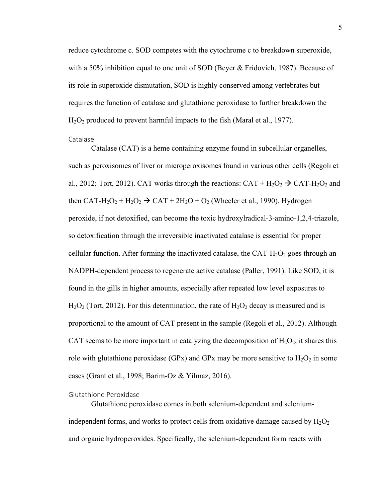reduce cytochrome c. SOD competes with the cytochrome c to breakdown superoxide, with a 50% inhibition equal to one unit of SOD (Beyer & Fridovich, 1987). Because of its role in superoxide dismutation, SOD is highly conserved among vertebrates but requires the function of catalase and glutathione peroxidase to further breakdown the  $H<sub>2</sub>O<sub>2</sub>$  produced to prevent harmful impacts to the fish (Maral et al., 1977).

Catalase

Catalase (CAT) is a heme containing enzyme found in subcellular organelles, such as peroxisomes of liver or microperoxisomes found in various other cells (Regoli et al., 2012; Tort, 2012). CAT works through the reactions:  $CAT + H_2O_2 \rightarrow CAT-H_2O_2$  and then CAT-H<sub>2</sub>O<sub>2</sub> + H<sub>2</sub>O<sub>2</sub>  $\rightarrow$  CAT + 2H<sub>2</sub>O + O<sub>2</sub> (Wheeler et al., 1990). Hydrogen peroxide, if not detoxified, can become the toxic hydroxylradical-3-amino-1,2,4-triazole, so detoxification through the irreversible inactivated catalase is essential for proper cellular function. After forming the inactivated catalase, the CAT- $H_2O_2$  goes through an NADPH-dependent process to regenerate active catalase (Paller, 1991). Like SOD, it is found in the gills in higher amounts, especially after repeated low level exposures to  $H_2O_2$  (Tort, 2012). For this determination, the rate of  $H_2O_2$  decay is measured and is proportional to the amount of CAT present in the sample (Regoli et al., 2012). Although CAT seems to be more important in catalyzing the decomposition of  $H_2O_2$ , it shares this role with glutathione peroxidase (GPx) and GPx may be more sensitive to  $H_2O_2$  in some cases (Grant et al., 1998; Barim-Oz & Yilmaz, 2016).

#### Glutathione Peroxidase

Glutathione peroxidase comes in both selenium-dependent and seleniumindependent forms, and works to protect cells from oxidative damage caused by  $H_2O_2$ and organic hydroperoxides. Specifically, the selenium-dependent form reacts with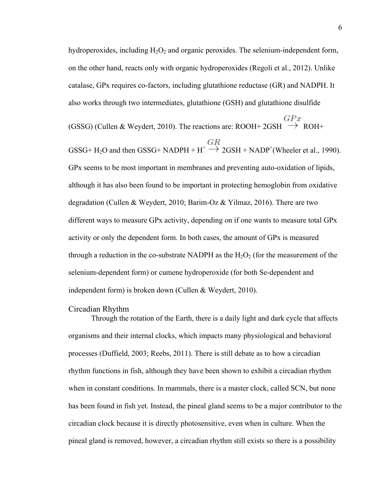hydroperoxides, including  $H_2O_2$  and organic peroxides. The selenium-independent form, on the other hand, reacts only with organic hydroperoxides (Regoli et al., 2012). Unlike catalase, GPx requires co-factors, including glutathione reductase (GR) and NADPH. It also works through two intermediates, glutathione (GSH) and glutathione disulfide

(GSSG) (Cullen & Weydert, 2010). The reactions are: ROOH+ 2GSH  $\rightarrow$  ROH+

GSSG+ H<sub>2</sub>O and then GSSG+ NADPH +  $H^+ \rightarrow 2GSH + NADP^+$  (Wheeler et al., 1990). GPx seems to be most important in membranes and preventing auto-oxidation of lipids, although it has also been found to be important in protecting hemoglobin from oxidative degradation (Cullen & Weydert, 2010; Barim-Oz & Yilmaz, 2016). There are two different ways to measure GPx activity, depending on if one wants to measure total GPx activity or only the dependent form. In both cases, the amount of GPx is measured through a reduction in the co-substrate NADPH as the  $H_2O_2$  (for the measurement of the selenium-dependent form) or cumene hydroperoxide (for both Se-dependent and independent form) is broken down (Cullen & Weydert, 2010).

#### Circadian Rhythm

Through the rotation of the Earth, there is a daily light and dark cycle that affects organisms and their internal clocks, which impacts many physiological and behavioral processes (Duffield, 2003; Reebs, 2011). There is still debate as to how a circadian rhythm functions in fish, although they have been shown to exhibit a circadian rhythm when in constant conditions. In mammals, there is a master clock, called SCN, but none has been found in fish yet. Instead, the pineal gland seems to be a major contributor to the circadian clock because it is directly photosensitive, even when in culture. When the pineal gland is removed, however, a circadian rhythm still exists so there is a possibility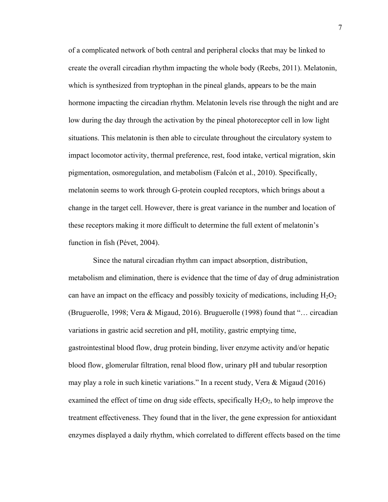of a complicated network of both central and peripheral clocks that may be linked to create the overall circadian rhythm impacting the whole body (Reebs, 2011). Melatonin, which is synthesized from tryptophan in the pineal glands, appears to be the main hormone impacting the circadian rhythm. Melatonin levels rise through the night and are low during the day through the activation by the pineal photoreceptor cell in low light situations. This melatonin is then able to circulate throughout the circulatory system to impact locomotor activity, thermal preference, rest, food intake, vertical migration, skin pigmentation, osmoregulation, and metabolism (Falcón et al., 2010). Specifically, melatonin seems to work through G-protein coupled receptors, which brings about a change in the target cell. However, there is great variance in the number and location of these receptors making it more difficult to determine the full extent of melatonin's function in fish (Pévet, 2004).

Since the natural circadian rhythm can impact absorption, distribution, metabolism and elimination, there is evidence that the time of day of drug administration can have an impact on the efficacy and possibly toxicity of medications, including  $H_2O_2$ (Bruguerolle, 1998; Vera & Migaud, 2016). Bruguerolle (1998) found that "… circadian variations in gastric acid secretion and pH, motility, gastric emptying time, gastrointestinal blood flow, drug protein binding, liver enzyme activity and/or hepatic blood flow, glomerular filtration, renal blood flow, urinary pH and tubular resorption may play a role in such kinetic variations." In a recent study, Vera & Migaud (2016) examined the effect of time on drug side effects, specifically  $H_2O_2$ , to help improve the treatment effectiveness. They found that in the liver, the gene expression for antioxidant enzymes displayed a daily rhythm, which correlated to different effects based on the time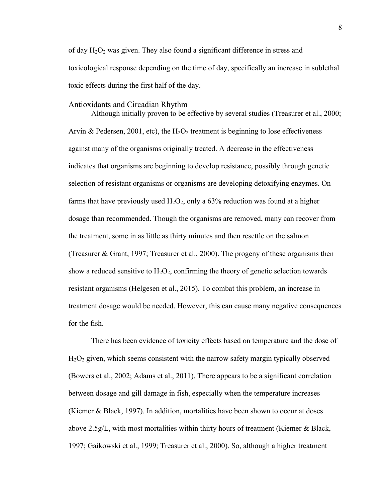of day  $H_2O_2$  was given. They also found a significant difference in stress and toxicological response depending on the time of day, specifically an increase in sublethal toxic effects during the first half of the day.

#### Antioxidants and Circadian Rhythm

Although initially proven to be effective by several studies (Treasurer et al., 2000; Arvin & Pedersen, 2001, etc), the  $H_2O_2$  treatment is beginning to lose effectiveness against many of the organisms originally treated. A decrease in the effectiveness indicates that organisms are beginning to develop resistance, possibly through genetic selection of resistant organisms or organisms are developing detoxifying enzymes. On farms that have previously used  $H_2O_2$ , only a 63% reduction was found at a higher dosage than recommended. Though the organisms are removed, many can recover from the treatment, some in as little as thirty minutes and then resettle on the salmon (Treasurer & Grant, 1997; Treasurer et al., 2000). The progeny of these organisms then show a reduced sensitive to  $H_2O_2$ , confirming the theory of genetic selection towards resistant organisms (Helgesen et al., 2015). To combat this problem, an increase in treatment dosage would be needed. However, this can cause many negative consequences for the fish.

There has been evidence of toxicity effects based on temperature and the dose of  $H<sub>2</sub>O<sub>2</sub>$  given, which seems consistent with the narrow safety margin typically observed (Bowers et al., 2002; Adams et al., 2011). There appears to be a significant correlation between dosage and gill damage in fish, especially when the temperature increases (Kiemer & Black, 1997). In addition, mortalities have been shown to occur at doses above 2.5g/L, with most mortalities within thirty hours of treatment (Kiemer & Black, 1997; Gaikowski et al., 1999; Treasurer et al., 2000). So, although a higher treatment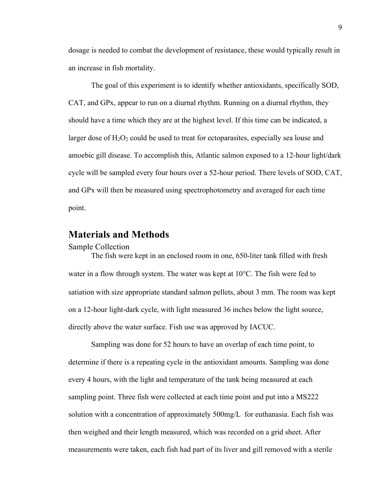dosage is needed to combat the development of resistance, these would typically result in an increase in fish mortality.

The goal of this experiment is to identify whether antioxidants, specifically SOD, CAT, and GPx, appear to run on a diurnal rhythm. Running on a diurnal rhythm, they should have a time which they are at the highest level. If this time can be indicated, a larger dose of  $H_2O_2$  could be used to treat for ectoparasites, especially sea louse and amoebic gill disease. To accomplish this, Atlantic salmon exposed to a 12-hour light/dark cycle will be sampled every four hours over a 52-hour period. There levels of SOD, CAT, and GPx will then be measured using spectrophotometry and averaged for each time point.

### **Materials and Methods**

#### Sample Collection

The fish were kept in an enclosed room in one, 650-liter tank filled with fresh water in a flow through system. The water was kept at 10°C. The fish were fed to satiation with size appropriate standard salmon pellets, about 3 mm. The room was kept on a 12-hour light-dark cycle, with light measured 36 inches below the light source, directly above the water surface. Fish use was approved by IACUC.

Sampling was done for 52 hours to have an overlap of each time point, to determine if there is a repeating cycle in the antioxidant amounts. Sampling was done every 4 hours, with the light and temperature of the tank being measured at each sampling point. Three fish were collected at each time point and put into a MS222 solution with a concentration of approximately 500mg/L for euthanasia. Each fish was then weighed and their length measured, which was recorded on a grid sheet. After measurements were taken, each fish had part of its liver and gill removed with a sterile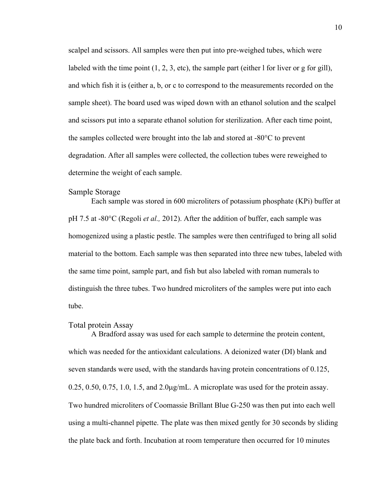scalpel and scissors. All samples were then put into pre-weighed tubes, which were labeled with the time point  $(1, 2, 3, \text{ etc})$ , the sample part (either l for liver or g for gill), and which fish it is (either a, b, or c to correspond to the measurements recorded on the sample sheet). The board used was wiped down with an ethanol solution and the scalpel and scissors put into a separate ethanol solution for sterilization. After each time point, the samples collected were brought into the lab and stored at -80°C to prevent degradation. After all samples were collected, the collection tubes were reweighed to determine the weight of each sample.

### Sample Storage

 Each sample was stored in 600 microliters of potassium phosphate (KPi) buffer at pH 7.5 at -80°C (Regoli *et al.,* 2012). After the addition of buffer, each sample was homogenized using a plastic pestle. The samples were then centrifuged to bring all solid material to the bottom. Each sample was then separated into three new tubes, labeled with the same time point, sample part, and fish but also labeled with roman numerals to distinguish the three tubes. Two hundred microliters of the samples were put into each tube.

#### Total protein Assay

 A Bradford assay was used for each sample to determine the protein content, which was needed for the antioxidant calculations. A deionized water (DI) blank and seven standards were used, with the standards having protein concentrations of 0.125,  $0.25, 0.50, 0.75, 1.0, 1.5,$  and  $2.0\mu$ g/mL. A microplate was used for the protein assay. Two hundred microliters of Coomassie Brillant Blue G-250 was then put into each well using a multi-channel pipette. The plate was then mixed gently for 30 seconds by sliding the plate back and forth. Incubation at room temperature then occurred for 10 minutes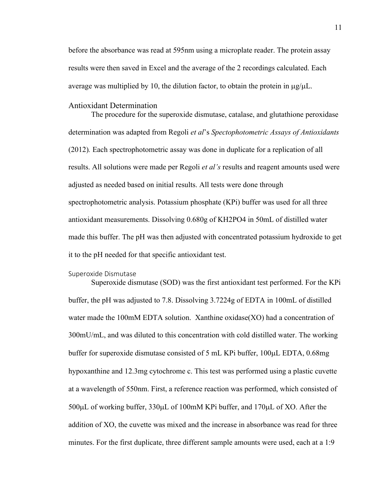before the absorbance was read at 595nm using a microplate reader. The protein assay results were then saved in Excel and the average of the 2 recordings calculated. Each average was multiplied by 10, the dilution factor, to obtain the protein in  $\mu$ g/ $\mu$ L.

#### Antioxidant Determination

 The procedure for the superoxide dismutase, catalase, and glutathione peroxidase determination was adapted from Regoli *et al*'s *Spectophotometric Assays of Antioxidants*  (2012)*.* Each spectrophotometric assay was done in duplicate for a replication of all results. All solutions were made per Regoli *et al's* results and reagent amounts used were adjusted as needed based on initial results. All tests were done through spectrophotometric analysis. Potassium phosphate (KPi) buffer was used for all three antioxidant measurements. Dissolving 0.680g of KH2PO4 in 50mL of distilled water made this buffer. The pH was then adjusted with concentrated potassium hydroxide to get it to the pH needed for that specific antioxidant test.

#### Superoxide Dismutase

Superoxide dismutase (SOD) was the first antioxidant test performed. For the KPi buffer, the pH was adjusted to 7.8. Dissolving 3.7224g of EDTA in 100mL of distilled water made the 100mM EDTA solution. Xanthine oxidase(XO) had a concentration of 300mU/mL, and was diluted to this concentration with cold distilled water. The working buffer for superoxide dismutase consisted of 5 mL KPi buffer, 100µL EDTA, 0.68mg hypoxanthine and 12.3mg cytochrome c. This test was performed using a plastic cuvette at a wavelength of 550nm. First, a reference reaction was performed, which consisted of 500µL of working buffer, 330µL of 100mM KPi buffer, and 170µL of XO. After the addition of XO, the cuvette was mixed and the increase in absorbance was read for three minutes. For the first duplicate, three different sample amounts were used, each at a 1:9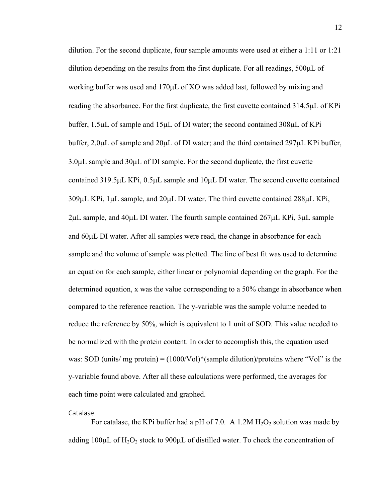dilution. For the second duplicate, four sample amounts were used at either a 1:11 or 1:21 dilution depending on the results from the first duplicate. For all readings, 500µL of working buffer was used and 170µL of XO was added last, followed by mixing and reading the absorbance. For the first duplicate, the first cuvette contained 314.5µL of KPi buffer, 1.5µL of sample and 15µL of DI water; the second contained 308µL of KPi buffer, 2.0µL of sample and 20µL of DI water; and the third contained 297µL KPi buffer, 3.0µL sample and 30µL of DI sample. For the second duplicate, the first cuvette contained 319.5µL KPi, 0.5µL sample and 10µL DI water. The second cuvette contained 309µL KPi, 1µL sample, and 20µL DI water. The third cuvette contained 288µL KPi,  $2\mu$ L sample, and  $40\mu$ L DI water. The fourth sample contained  $267\mu$ L KPi,  $3\mu$ L sample and 60µL DI water. After all samples were read, the change in absorbance for each sample and the volume of sample was plotted. The line of best fit was used to determine an equation for each sample, either linear or polynomial depending on the graph. For the determined equation, x was the value corresponding to a 50% change in absorbance when compared to the reference reaction. The y-variable was the sample volume needed to reduce the reference by 50%, which is equivalent to 1 unit of SOD. This value needed to be normalized with the protein content. In order to accomplish this, the equation used was: SOD (units/ mg protein) =  $(1000/V_0)^*($  sample dilution)/proteins where "Vol" is the y-variable found above. After all these calculations were performed, the averages for each time point were calculated and graphed.

#### Catalase

For catalase, the KPi buffer had a pH of 7.0. A 1.2M  $H_2O_2$  solution was made by adding  $100\mu L$  of H<sub>2</sub>O<sub>2</sub> stock to  $900\mu L$  of distilled water. To check the concentration of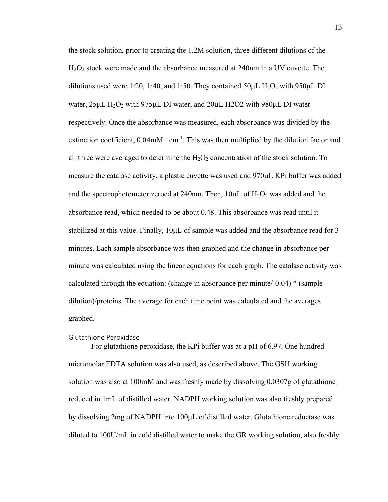the stock solution, prior to creating the 1.2M solution, three different dilutions of the H2O2 stock were made and the absorbance measured at 240nm in a UV cuvette. The dilutions used were 1:20, 1:40, and 1:50. They contained  $50\mu$ L H<sub>2</sub>O<sub>2</sub> with 950 $\mu$ L DI water,  $25\mu L H_2O_2$  with  $975\mu L$  DI water, and  $20\mu L$  H2O2 with  $980\mu L$  DI water respectively. Once the absorbance was measured, each absorbance was divided by the extinction coefficient,  $0.04$ m $M^{-1}$  cm<sup>-1</sup>. This was then multiplied by the dilution factor and all three were averaged to determine the  $H_2O_2$  concentration of the stock solution. To measure the catalase activity, a plastic cuvette was used and 970µL KPi buffer was added and the spectrophotometer zeroed at 240nm. Then,  $10\mu L$  of  $H_2O_2$  was added and the absorbance read, which needed to be about 0.48. This absorbance was read until it stabilized at this value. Finally,  $10\mu L$  of sample was added and the absorbance read for 3 minutes. Each sample absorbance was then graphed and the change in absorbance per minute was calculated using the linear equations for each graph. The catalase activity was calculated through the equation: (change in absorbance per minute/ $-0.04$ )  $*$  (sample dilution)/proteins. The average for each time point was calculated and the averages graphed.

#### Glutathione Peroxidase

For glutathione peroxidase, the KPi buffer was at a pH of 6.97. One hundred micromolar EDTA solution was also used, as described above. The GSH working solution was also at 100mM and was freshly made by dissolving 0.0307g of glutathione reduced in 1mL of distilled water. NADPH working solution was also freshly prepared by dissolving 2mg of NADPH into 100µL of distilled water. Glutathione reductase was diluted to 100U/mL in cold distilled water to make the GR working solution, also freshly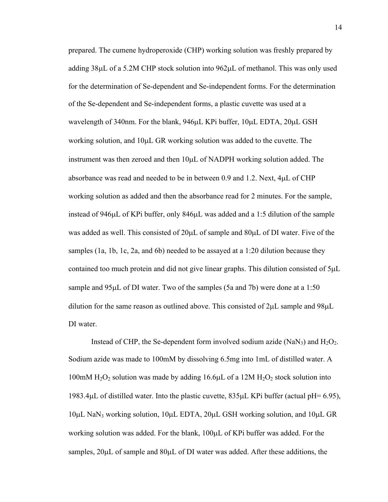prepared. The cumene hydroperoxide (CHP) working solution was freshly prepared by adding 38µL of a 5.2M CHP stock solution into 962µL of methanol. This was only used for the determination of Se-dependent and Se-independent forms. For the determination of the Se-dependent and Se-independent forms, a plastic cuvette was used at a wavelength of 340nm. For the blank, 946µL KPi buffer, 10µL EDTA, 20µL GSH working solution, and 10µL GR working solution was added to the cuvette. The instrument was then zeroed and then 10µL of NADPH working solution added. The absorbance was read and needed to be in between 0.9 and 1.2. Next, 4µL of CHP working solution as added and then the absorbance read for 2 minutes. For the sample, instead of 946µL of KPi buffer, only 846µL was added and a 1:5 dilution of the sample was added as well. This consisted of  $20\mu$ L of sample and  $80\mu$ L of DI water. Five of the samples (1a, 1b, 1c, 2a, and 6b) needed to be assayed at a 1:20 dilution because they contained too much protein and did not give linear graphs. This dilution consisted of  $5\mu L$ sample and 95µL of DI water. Two of the samples (5a and 7b) were done at a 1:50 dilution for the same reason as outlined above. This consisted of 2µL sample and 98µL DI water.

Instead of CHP, the Se-dependent form involved sodium azide (NaN<sub>3</sub>) and  $H_2O_2$ . Sodium azide was made to 100mM by dissolving 6.5mg into 1mL of distilled water. A 100mM  $H_2O_2$  solution was made by adding 16.6 $\mu$ L of a 12M  $H_2O_2$  stock solution into 1983.4µL of distilled water. Into the plastic cuvette, 835µL KPi buffer (actual pH= 6.95), 10µL NaN3 working solution, 10µL EDTA, 20µL GSH working solution, and 10µL GR working solution was added. For the blank, 100µL of KPi buffer was added. For the samples,  $20\mu L$  of sample and  $80\mu L$  of DI water was added. After these additions, the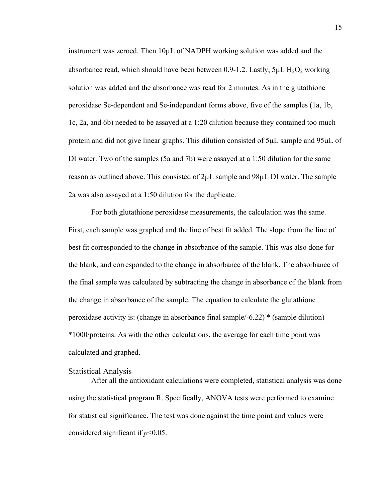instrument was zeroed. Then 10µL of NADPH working solution was added and the absorbance read, which should have been between 0.9-1.2. Lastly,  $5\mu$ L H<sub>2</sub>O<sub>2</sub> working solution was added and the absorbance was read for 2 minutes. As in the glutathione peroxidase Se-dependent and Se-independent forms above, five of the samples (1a, 1b, 1c, 2a, and 6b) needed to be assayed at a 1:20 dilution because they contained too much protein and did not give linear graphs. This dilution consisted of 5µL sample and 95µL of DI water. Two of the samples (5a and 7b) were assayed at a 1:50 dilution for the same reason as outlined above. This consisted of 2µL sample and 98µL DI water. The sample 2a was also assayed at a 1:50 dilution for the duplicate.

 For both glutathione peroxidase measurements, the calculation was the same. First, each sample was graphed and the line of best fit added. The slope from the line of best fit corresponded to the change in absorbance of the sample. This was also done for the blank, and corresponded to the change in absorbance of the blank. The absorbance of the final sample was calculated by subtracting the change in absorbance of the blank from the change in absorbance of the sample. The equation to calculate the glutathione peroxidase activity is: (change in absorbance final sample/-6.22) \* (sample dilution) \*1000/proteins. As with the other calculations, the average for each time point was calculated and graphed.

#### Statistical Analysis

After all the antioxidant calculations were completed, statistical analysis was done using the statistical program R. Specifically, ANOVA tests were performed to examine for statistical significance. The test was done against the time point and values were considered significant if *p*<0.05.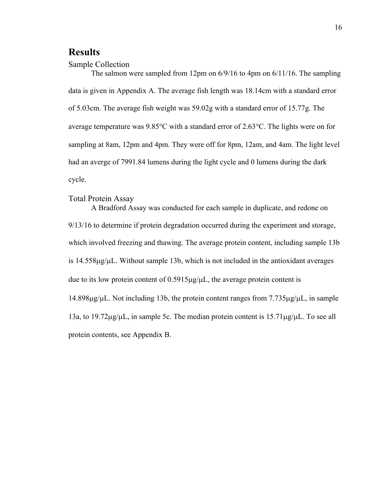## **Results**

#### Sample Collection

The salmon were sampled from 12pm on 6/9/16 to 4pm on 6/11/16. The sampling data is given in Appendix A. The average fish length was 18.14cm with a standard error of 5.03cm. The average fish weight was 59.02g with a standard error of 15.77g. The average temperature was 9.85°C with a standard error of 2.63°C. The lights were on for sampling at 8am, 12pm and 4pm. They were off for 8pm, 12am, and 4am. The light level had an averge of 7991.84 lumens during the light cycle and 0 lumens during the dark cycle.

#### Total Protein Assay

A Bradford Assay was conducted for each sample in duplicate, and redone on 9/13/16 to determine if protein degradation occurred during the experiment and storage, which involved freezing and thawing. The average protein content, including sample 13b is  $14.558\mu g/\mu L$ . Without sample 13b, which is not included in the antioxidant averages due to its low protein content of  $0.5915\mu g/\mu L$ , the average protein content is 14.898µg/µL. Not including 13b, the protein content ranges from 7.735µg/µL, in sample 13a, to 19.72µg/µL, in sample 5c. The median protein content is 15.71µg/µL. To see all protein contents, see Appendix B.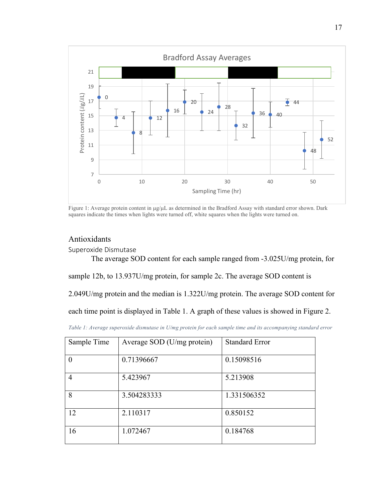

Figure 1: Average protein content in µg/µL as determined in the Bradford Assay with standard error shown. Dark squares indicate the times when lights were turned off, white squares when the lights were turned on.

## Antioxidants

Superoxide Dismutase

The average SOD content for each sample ranged from -3.025U/mg protein, for

sample 12b, to 13.937U/mg protein, for sample 2c. The average SOD content is

2.049U/mg protein and the median is 1.322U/mg protein. The average SOD content for

each time point is displayed in Table 1. A graph of these values is showed in Figure 2.

| Sample Time | Average SOD (U/mg protein) | <b>Standard Error</b> |
|-------------|----------------------------|-----------------------|
|             | 0.71396667                 | 0.15098516            |
| 4           | 5.423967                   | 5.213908              |
| 8           | 3.504283333                | 1.331506352           |
| 12          | 2.110317                   | 0.850152              |
| 16          | 1.072467                   | 0.184768              |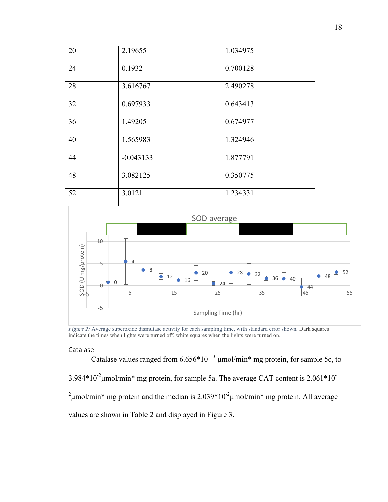| 20 | 2.19655     | 1.034975 |
|----|-------------|----------|
| 24 | 0.1932      | 0.700128 |
| 28 | 3.616767    | 2.490278 |
| 32 | 0.697933    | 0.643413 |
| 36 | 1.49205     | 0.674977 |
| 40 | 1.565983    | 1.324946 |
| 44 | $-0.043133$ | 1.877791 |
| 48 | 3.082125    | 0.350775 |
| 52 | 3.0121      | 1.234331 |



*Figure 2:* Average superoxide dismutase activity for each sampling time, with standard error shown*.* Dark squares indicate the times when lights were turned off, white squares when the lights were turned on.

#### Catalase

Catalase values ranged from  $6.656*10^{-3}$  µmol/min\* mg protein, for sample 5c, to  $3.984*10<sup>-2</sup>$ µmol/min\* mg protein, for sample 5a. The average CAT content is 2.061\*10<sup>-</sup> <sup>2</sup>  $\mu$ mol/min\* mg protein and the median is 2.039\*10<sup>-2</sup> $\mu$ mol/min\* mg protein. All average values are shown in Table 2 and displayed in Figure 3.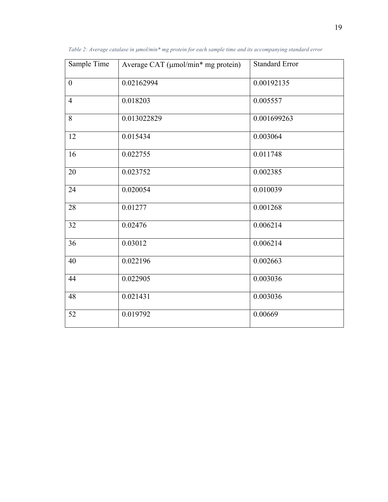| Sample Time      | Average CAT (µmol/min* mg protein) | <b>Standard Error</b> |
|------------------|------------------------------------|-----------------------|
| $\boldsymbol{0}$ | 0.02162994                         | 0.00192135            |
| $\overline{4}$   | 0.018203                           | 0.005557              |
| 8                | 0.013022829                        | 0.001699263           |
| 12               | 0.015434                           | 0.003064              |
| 16               | 0.022755                           | 0.011748              |
| 20               | 0.023752                           | 0.002385              |
| 24               | 0.020054                           | 0.010039              |
| 28               | 0.01277                            | 0.001268              |
| 32               | 0.02476                            | 0.006214              |
| 36               | 0.03012                            | 0.006214              |
| 40               | 0.022196                           | 0.002663              |
| 44               | 0.022905                           | 0.003036              |
| 48               | 0.021431                           | 0.003036              |
| 52               | 0.019792                           | 0.00669               |

*Table 2: Average catalase in µmol/min\* mg protein for each sample time and its accompanying standard error*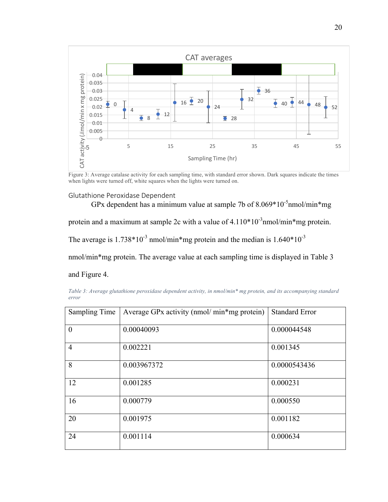

Figure 3: Average catalase activity for each sampling time, with standard error shown. Dark squares indicate the times when lights were turned off, white squares when the lights were turned on.

#### Glutathione Peroxidase Dependent

GPx dependent has a minimum value at sample 7b of  $8.069*10^{-5}$ nmol/min\*mg

protein and a maximum at sample 2c with a value of  $4.110*10<sup>-3</sup>$  nmol/min\*mg protein.

The average is  $1.738*10^{-3}$  nmol/min\*mg protein and the median is  $1.640*10^{-3}$ 

nmol/min\*mg protein. The average value at each sampling time is displayed in Table 3

and Figure 4.

*Table 3: Average glutathione peroxidase dependent activity, in nmol/min\* mg protein, and its accompanying standard error*

| Sampling Time  | Average GPx activity (nmol/min*mg protein) | <b>Standard Error</b> |
|----------------|--------------------------------------------|-----------------------|
| $\overline{0}$ | 0.00040093                                 | 0.000044548           |
| $\overline{4}$ | 0.002221                                   | 0.001345              |
| 8              | 0.003967372                                | 0.0000543436          |
| 12             | 0.001285                                   | 0.000231              |
| 16             | 0.000779                                   | 0.000550              |
| 20             | 0.001975                                   | 0.001182              |
| 24             | 0.001114                                   | 0.000634              |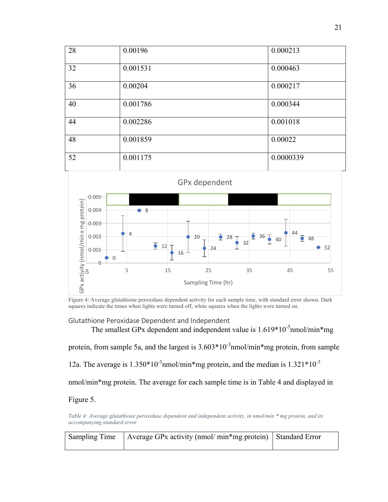| 28 | 0.00196  | 0.000213  |
|----|----------|-----------|
| 32 | 0.001531 | 0.000463  |
| 36 | 0.00204  | 0.000217  |
| 40 | 0.001786 | 0.000344  |
| 44 | 0.002286 | 0.001018  |
| 48 | 0.001859 | 0.00022   |
| 52 | 0.001175 | 0.0000339 |



Figure 4: Average glutathione peroxidase dependent activity for each sample time, with standard error shown. Dark squares indicate the times when lights were turned off, white squares when the lights were turned on.

#### Glutathione Peroxidase Dependent and Independent

The smallest GPx dependent and independent value is  $1.619*10^{-5}$ nmol/min\*mg

protein, from sample 5a, and the largest is  $3.603*10^{-3}$ nmol/min\*mg protein, from sample

12a. The average is  $1.350*10^{-3}$ nmol/min\*mg protein, and the median is  $1.321*10^{-3}$ 

nmol/min\*mg protein. The average for each sample time is in Table 4 and displayed in

#### Figure 5.

*Table 4: Average glutathione peroxidase dependent and independent activity, in nmol/min \* mg protein, and its accompanying standard error*

| Sampling Time   Average GPx activity (nmol/min*mg protein)   Standard Error |  |  |
|-----------------------------------------------------------------------------|--|--|
|                                                                             |  |  |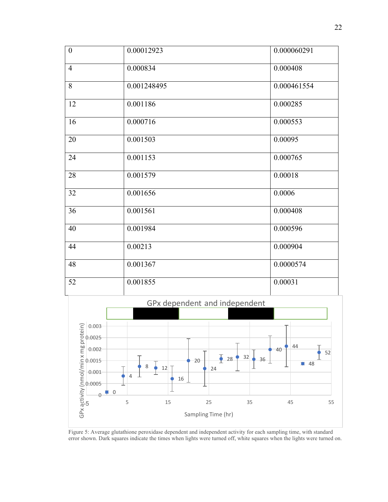| $\boldsymbol{0}$ | 0.00012923  | 0.000060291 |  |
|------------------|-------------|-------------|--|
| $\overline{4}$   | 0.000834    | 0.000408    |  |
| $\overline{8}$   | 0.001248495 | 0.000461554 |  |
| 12               | 0.001186    | 0.000285    |  |
| 16               | 0.000716    | 0.000553    |  |
| 20               | 0.001503    | 0.00095     |  |
| 24               | 0.001153    | 0.000765    |  |
| 28               | 0.001579    | 0.00018     |  |
| 32               | 0.001656    | 0.0006      |  |
| 36               | 0.001561    | 0.000408    |  |
| 40               | 0.001984    | 0.000596    |  |
| 44               | 0.00213     | 0.000904    |  |
| 48               | 0.001367    | 0.0000574   |  |
| 52               | 0.001855    | 0.00031     |  |



Figure 5: Average glutathione peroxidase dependent and independent activity for each sampling time, with standard error shown. Dark squares indicate the times when lights were turned off, white squares when the lights were turned on.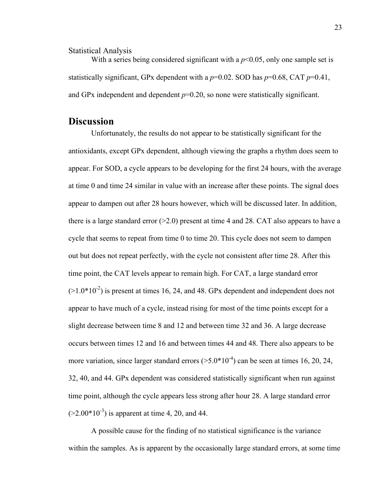Statistical Analysis

With a series being considered significant with a  $p<0.05$ , only one sample set is statistically significant, GPx dependent with a  $p=0.02$ . SOD has  $p=0.68$ , CAT  $p=0.41$ , and GPx independent and dependent  $p=0.20$ , so none were statistically significant.

## **Discussion**

Unfortunately, the results do not appear to be statistically significant for the antioxidants, except GPx dependent, although viewing the graphs a rhythm does seem to appear. For SOD, a cycle appears to be developing for the first 24 hours, with the average at time 0 and time 24 similar in value with an increase after these points. The signal does appear to dampen out after 28 hours however, which will be discussed later. In addition, there is a large standard error  $(>=2.0)$  present at time 4 and 28. CAT also appears to have a cycle that seems to repeat from time 0 to time 20. This cycle does not seem to dampen out but does not repeat perfectly, with the cycle not consistent after time 28. After this time point, the CAT levels appear to remain high. For CAT, a large standard error  $(>1.0*10^{-2})$  is present at times 16, 24, and 48. GPx dependent and independent does not appear to have much of a cycle, instead rising for most of the time points except for a slight decrease between time 8 and 12 and between time 32 and 36. A large decrease occurs between times 12 and 16 and between times 44 and 48. There also appears to be more variation, since larger standard errors  $(>5.0*10^{-4})$  can be seen at times 16, 20, 24, 32, 40, and 44. GPx dependent was considered statistically significant when run against time point, although the cycle appears less strong after hour 28. A large standard error  $(>=2.00*10^{-3})$  is apparent at time 4, 20, and 44.

A possible cause for the finding of no statistical significance is the variance within the samples. As is apparent by the occasionally large standard errors, at some time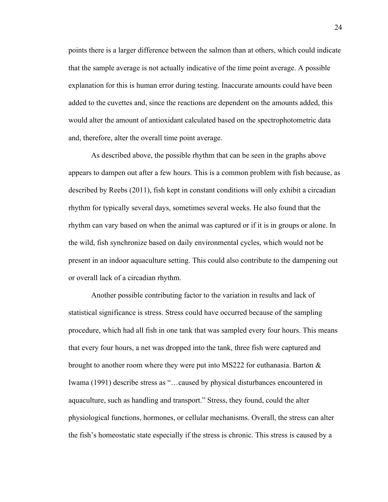points there is a larger difference between the salmon than at others, which could indicate that the sample average is not actually indicative of the time point average. A possible explanation for this is human error during testing. Inaccurate amounts could have been added to the cuvettes and, since the reactions are dependent on the amounts added, this would alter the amount of antioxidant calculated based on the spectrophotometric data and, therefore, alter the overall time point average.

As described above, the possible rhythm that can be seen in the graphs above appears to dampen out after a few hours. This is a common problem with fish because, as described by Reebs (2011), fish kept in constant conditions will only exhibit a circadian rhythm for typically several days, sometimes several weeks. He also found that the rhythm can vary based on when the animal was captured or if it is in groups or alone. In the wild, fish synchronize based on daily environmental cycles, which would not be present in an indoor aquaculture setting. This could also contribute to the dampening out or overall lack of a circadian rhythm.

Another possible contributing factor to the variation in results and lack of statistical significance is stress. Stress could have occurred because of the sampling procedure, which had all fish in one tank that was sampled every four hours. This means that every four hours, a net was dropped into the tank, three fish were captured and brought to another room where they were put into MS222 for euthanasia. Barton  $\&$ Iwama (1991) describe stress as "…caused by physical disturbances encountered in aquaculture, such as handling and transport." Stress, they found, could the alter physiological functions, hormones, or cellular mechanisms. Overall, the stress can alter the fish's homeostatic state especially if the stress is chronic. This stress is caused by a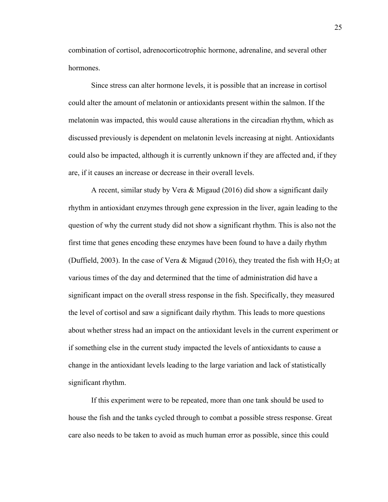combination of cortisol, adrenocorticotrophic hormone, adrenaline, and several other hormones.

Since stress can alter hormone levels, it is possible that an increase in cortisol could alter the amount of melatonin or antioxidants present within the salmon. If the melatonin was impacted, this would cause alterations in the circadian rhythm, which as discussed previously is dependent on melatonin levels increasing at night. Antioxidants could also be impacted, although it is currently unknown if they are affected and, if they are, if it causes an increase or decrease in their overall levels.

A recent, similar study by Vera & Migaud (2016) did show a significant daily rhythm in antioxidant enzymes through gene expression in the liver, again leading to the question of why the current study did not show a significant rhythm. This is also not the first time that genes encoding these enzymes have been found to have a daily rhythm (Duffield, 2003). In the case of Vera & Migaud (2016), they treated the fish with  $H_2O_2$  at various times of the day and determined that the time of administration did have a significant impact on the overall stress response in the fish. Specifically, they measured the level of cortisol and saw a significant daily rhythm. This leads to more questions about whether stress had an impact on the antioxidant levels in the current experiment or if something else in the current study impacted the levels of antioxidants to cause a change in the antioxidant levels leading to the large variation and lack of statistically significant rhythm.

If this experiment were to be repeated, more than one tank should be used to house the fish and the tanks cycled through to combat a possible stress response. Great care also needs to be taken to avoid as much human error as possible, since this could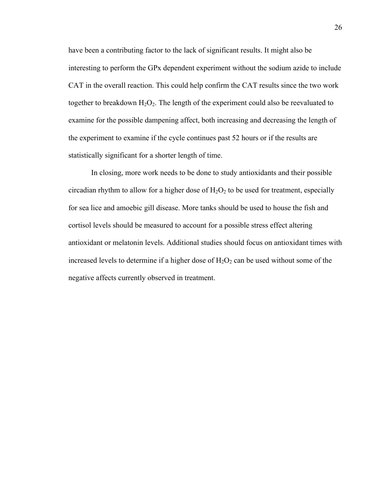have been a contributing factor to the lack of significant results. It might also be interesting to perform the GPx dependent experiment without the sodium azide to include CAT in the overall reaction. This could help confirm the CAT results since the two work together to breakdown  $H_2O_2$ . The length of the experiment could also be reevaluated to examine for the possible dampening affect, both increasing and decreasing the length of the experiment to examine if the cycle continues past 52 hours or if the results are statistically significant for a shorter length of time.

In closing, more work needs to be done to study antioxidants and their possible circadian rhythm to allow for a higher dose of  $H_2O_2$  to be used for treatment, especially for sea lice and amoebic gill disease. More tanks should be used to house the fish and cortisol levels should be measured to account for a possible stress effect altering antioxidant or melatonin levels. Additional studies should focus on antioxidant times with increased levels to determine if a higher dose of  $H_2O_2$  can be used without some of the negative affects currently observed in treatment.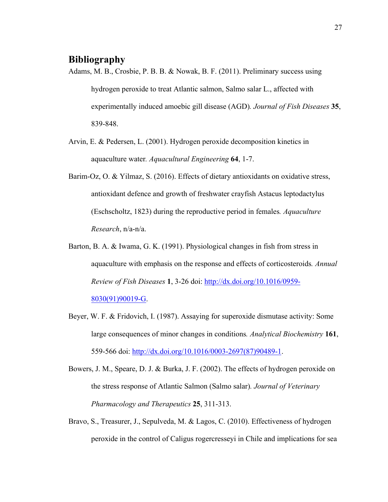## **Bibliography**

- Adams, M. B., Crosbie, P. B. B. & Nowak, B. F. (2011). Preliminary success using hydrogen peroxide to treat Atlantic salmon, Salmo salar L., affected with experimentally induced amoebic gill disease (AGD)*. Journal of Fish Diseases* **35**, 839-848.
- Arvin, E. & Pedersen, L. (2001). Hydrogen peroxide decomposition kinetics in aquaculture water*. Aquacultural Engineering* **64**, 1-7.
- Barim-Oz, O. & Yilmaz, S. (2016). Effects of dietary antioxidants on oxidative stress, antioxidant defence and growth of freshwater crayfish Astacus leptodactylus (Eschscholtz, 1823) during the reproductive period in females*. Aquaculture Research*, n/a-n/a.
- Barton, B. A. & Iwama, G. K. (1991). Physiological changes in fish from stress in aquaculture with emphasis on the response and effects of corticosteroids*. Annual Review of Fish Diseases* **1**, 3-26 doi: http://dx.doi.org/10.1016/0959- 8030(91)90019-G.
- Beyer, W. F. & Fridovich, I. (1987). Assaying for superoxide dismutase activity: Some large consequences of minor changes in conditions*. Analytical Biochemistry* **161**, 559-566 doi: http://dx.doi.org/10.1016/0003-2697(87)90489-1.

Bowers, J. M., Speare, D. J. & Burka, J. F. (2002). The effects of hydrogen peroxide on the stress response of Atlantic Salmon (Salmo salar)*. Journal of Veterinary Pharmacology and Therapeutics* **25**, 311-313.

Bravo, S., Treasurer, J., Sepulveda, M. & Lagos, C. (2010). Effectiveness of hydrogen peroxide in the control of Caligus rogercresseyi in Chile and implications for sea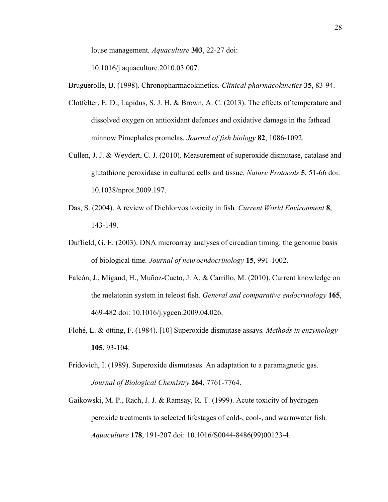louse management*. Aquaculture* **303**, 22-27 doi:

10.1016/j.aquaculture.2010.03.007.

Bruguerolle, B. (1998). Chronopharmacokinetics*. Clinical pharmacokinetics* **35**, 83-94.

- Clotfelter, E. D., Lapidus, S. J. H. & Brown, A. C. (2013). The effects of temperature and dissolved oxygen on antioxidant defences and oxidative damage in the fathead minnow Pimephales promelas*. Journal of fish biology* **82**, 1086-1092.
- Cullen, J. J. & Weydert, C. J. (2010). Measurement of superoxide dismutase, catalase and glutathione peroxidase in cultured cells and tissue*. Nature Protocols* **5**, 51-66 doi: 10.1038/nprot.2009.197.
- Das, S. (2004). A review of Dichlorvos toxicity in fish*. Current World Environment* **8**, 143-149.
- Duffield, G. E. (2003). DNA microarray analyses of circadian timing: the genomic basis of biological time*. Journal of neuroendocrinology* **15**, 991-1002.
- Falcón, J., Migaud, H., Muñoz-Cueto, J. A. & Carrillo, M. (2010). Current knowledge on the melatonin system in teleost fish*. General and comparative endocrinology* **165**, 469-482 doi: 10.1016/j.ygcen.2009.04.026.
- Flohé, L. & ötting, F. (1984). [10] Superoxide dismutase assays*. Methods in enzymology* **105**, 93-104.
- Fridovich, I. (1989). Superoxide dismutases. An adaptation to a paramagnetic gas. *Journal of Biological Chemistry* **264**, 7761-7764.
- Gaikowski, M. P., Rach, J. J. & Ramsay, R. T. (1999). Acute toxicity of hydrogen peroxide treatments to selected lifestages of cold-, cool-, and warmwater fish*. Aquaculture* **178**, 191-207 doi: 10.1016/S0044-8486(99)00123-4.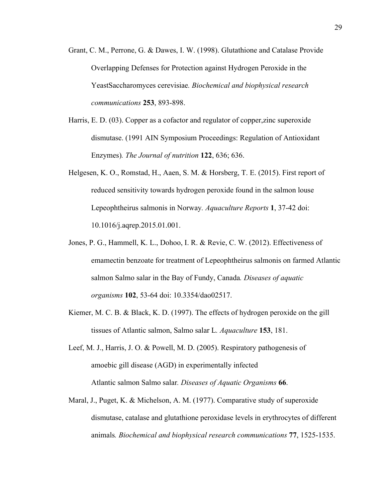- Grant, C. M., Perrone, G. & Dawes, I. W. (1998). Glutathione and Catalase Provide Overlapping Defenses for Protection against Hydrogen Peroxide in the YeastSaccharomyces cerevisiae*. Biochemical and biophysical research communications* **253**, 893-898.
- Harris, E. D. (03). Copper as a cofactor and regulator of copper,zinc superoxide dismutase. (1991 AIN Symposium Proceedings: Regulation of Antioxidant Enzymes)*. The Journal of nutrition* **122**, 636; 636.
- Helgesen, K. O., Romstad, H., Aaen, S. M. & Horsberg, T. E. (2015). First report of reduced sensitivity towards hydrogen peroxide found in the salmon louse Lepeophtheirus salmonis in Norway*. Aquaculture Reports* **1**, 37-42 doi: 10.1016/j.aqrep.2015.01.001.
- Jones, P. G., Hammell, K. L., Dohoo, I. R. & Revie, C. W. (2012). Effectiveness of emamectin benzoate for treatment of Lepeophtheirus salmonis on farmed Atlantic salmon Salmo salar in the Bay of Fundy, Canada*. Diseases of aquatic organisms* **102**, 53-64 doi: 10.3354/dao02517.
- Kiemer, M. C. B. & Black, K. D. (1997). The effects of hydrogen peroxide on the gill tissues of Atlantic salmon, Salmo salar L*. Aquaculture* **153**, 181.
- Leef, M. J., Harris, J. O. & Powell, M. D. (2005). Respiratory pathogenesis of amoebic gill disease (AGD) in experimentally infected Atlantic salmon Salmo salar*. Diseases of Aquatic Organisms* **66**.
- Maral, J., Puget, K. & Michelson, A. M. (1977). Comparative study of superoxide dismutase, catalase and glutathione peroxidase levels in erythrocytes of different animals*. Biochemical and biophysical research communications* **77**, 1525-1535.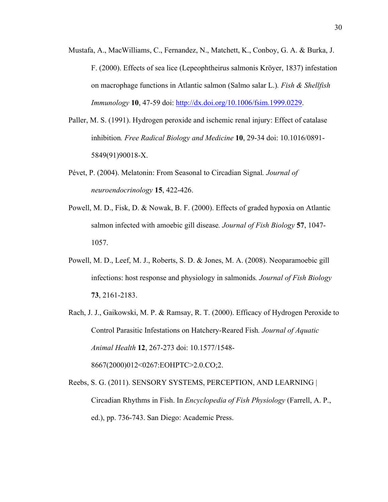- Mustafa, A., MacWilliams, C., Fernandez, N., Matchett, K., Conboy, G. A. & Burka, J. F. (2000). Effects of sea lice (Lepeophtheirus salmonis Kröyer, 1837) infestation on macrophage functions in Atlantic salmon (Salmo salar L.)*. Fish & Shellfish Immunology* **10**, 47-59 doi: http://dx.doi.org/10.1006/fsim.1999.0229.
- Paller, M. S. (1991). Hydrogen peroxide and ischemic renal injury: Effect of catalase inhibition*. Free Radical Biology and Medicine* **10**, 29-34 doi: 10.1016/0891- 5849(91)90018-X.
- Pévet, P. (2004). Melatonin: From Seasonal to Circadian Signal*. Journal of neuroendocrinology* **15**, 422-426.
- Powell, M. D., Fisk, D. & Nowak, B. F. (2000). Effects of graded hypoxia on Atlantic salmon infected with amoebic gill disease*. Journal of Fish Biology* **57**, 1047- 1057.
- Powell, M. D., Leef, M. J., Roberts, S. D. & Jones, M. A. (2008). Neoparamoebic gill infections: host response and physiology in salmonids*. Journal of Fish Biology* **73**, 2161-2183.
- Rach, J. J., Gaikowski, M. P. & Ramsay, R. T. (2000). Efficacy of Hydrogen Peroxide to Control Parasitic Infestations on Hatchery-Reared Fish*. Journal of Aquatic Animal Health* **12**, 267-273 doi: 10.1577/1548- 8667(2000)012<0267:EOHPTC>2.0.CO;2.

Reebs, S. G. (2011). SENSORY SYSTEMS, PERCEPTION, AND LEARNING | Circadian Rhythms in Fish. In *Encyclopedia of Fish Physiology* (Farrell, A. P., ed.), pp. 736-743. San Diego: Academic Press.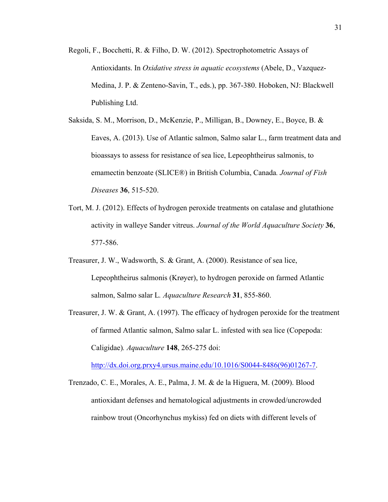- Regoli, F., Bocchetti, R. & Filho, D. W. (2012). Spectrophotometric Assays of Antioxidants. In *Oxidative stress in aquatic ecosystems* (Abele, D., Vazquez-Medina, J. P. & Zenteno-Savin, T., eds.), pp. 367-380. Hoboken, NJ: Blackwell Publishing Ltd.
- Saksida, S. M., Morrison, D., McKenzie, P., Milligan, B., Downey, E., Boyce, B. & Eaves, A. (2013). Use of Atlantic salmon, Salmo salar L., farm treatment data and bioassays to assess for resistance of sea lice, Lepeophtheirus salmonis, to emamectin benzoate (SLICE®) in British Columbia, Canada*. Journal of Fish Diseases* **36**, 515-520.
- Tort, M. J. (2012). Effects of hydrogen peroxide treatments on catalase and glutathione activity in walleye Sander vitreus. *Journal of the World Aquaculture Society* **36**, 577-586.
- Treasurer, J. W., Wadsworth, S. & Grant, A. (2000). Resistance of sea lice, Lepeophtheirus salmonis (Krøyer), to hydrogen peroxide on farmed Atlantic salmon, Salmo salar L*. Aquaculture Research* **31**, 855-860.
- Treasurer, J. W. & Grant, A. (1997). The efficacy of hydrogen peroxide for the treatment of farmed Atlantic salmon, Salmo salar L. infested with sea lice (Copepoda: Caligidae)*. Aquaculture* **148**, 265-275 doi:

http://dx.doi.org.prxy4.ursus.maine.edu/10.1016/S0044-8486(96)01267-7.

Trenzado, C. E., Morales, A. E., Palma, J. M. & de la Higuera, M. (2009). Blood antioxidant defenses and hematological adjustments in crowded/uncrowded rainbow trout (Oncorhynchus mykiss) fed on diets with different levels of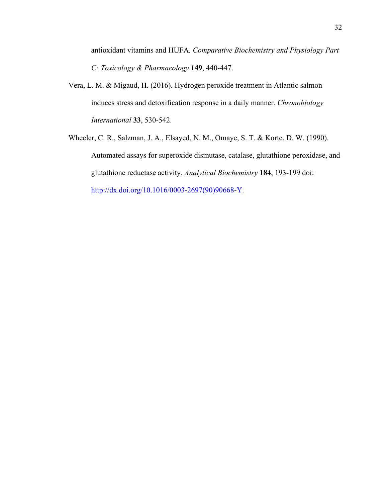antioxidant vitamins and HUFA*. Comparative Biochemistry and Physiology Part C: Toxicology & Pharmacology* **149**, 440-447.

- Vera, L. M. & Migaud, H. (2016). Hydrogen peroxide treatment in Atlantic salmon induces stress and detoxification response in a daily manner*. Chronobiology International* **33**, 530-542.
- Wheeler, C. R., Salzman, J. A., Elsayed, N. M., Omaye, S. T. & Korte, D. W. (1990). Automated assays for superoxide dismutase, catalase, glutathione peroxidase, and glutathione reductase activity*. Analytical Biochemistry* **184**, 193-199 doi: http://dx.doi.org/10.1016/0003-2697(90)90668-Y.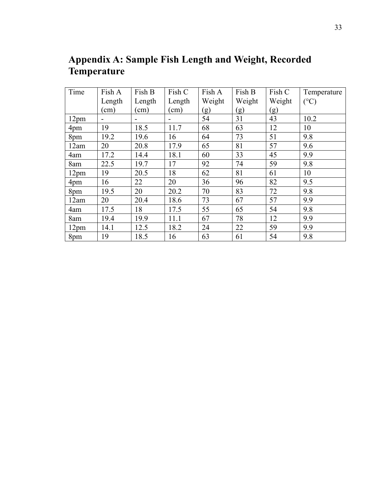| Time             | Fish A | Fish B | Fish C | Fish A | Fish B | Fish C | Temperature   |
|------------------|--------|--------|--------|--------|--------|--------|---------------|
|                  | Length | Length | Length | Weight | Weight | Weight | $(^{\circ}C)$ |
|                  | (cm)   | (cm)   | (cm)   | (g)    | (g)    | (g)    |               |
| 12 <sub>pm</sub> |        |        | -      | 54     | 31     | 43     | 10.2          |
| 4pm              | 19     | 18.5   | 11.7   | 68     | 63     | 12     | 10            |
| 8pm              | 19.2   | 19.6   | 16     | 64     | 73     | 51     | 9.8           |
| 12am             | 20     | 20.8   | 17.9   | 65     | 81     | 57     | 9.6           |
| 4am              | 17.2   | 14.4   | 18.1   | 60     | 33     | 45     | 9.9           |
| 8am              | 22.5   | 19.7   | 17     | 92     | 74     | 59     | 9.8           |
| 12pm             | 19     | 20.5   | 18     | 62     | 81     | 61     | 10            |
| 4pm              | 16     | 22     | 20     | 36     | 96     | 82     | 9.5           |
| 8pm              | 19.5   | 20     | 20.2   | 70     | 83     | 72     | 9.8           |
| 12am             | 20     | 20.4   | 18.6   | 73     | 67     | 57     | 9.9           |
| 4am              | 17.5   | 18     | 17.5   | 55     | 65     | 54     | 9.8           |
| 8am              | 19.4   | 19.9   | 11.1   | 67     | 78     | 12     | 9.9           |
| 12pm             | 14.1   | 12.5   | 18.2   | 24     | 22     | 59     | 9.9           |
| 8pm              | 19     | 18.5   | 16     | 63     | 61     | 54     | 9.8           |

**Appendix A: Sample Fish Length and Weight, Recorded Temperature**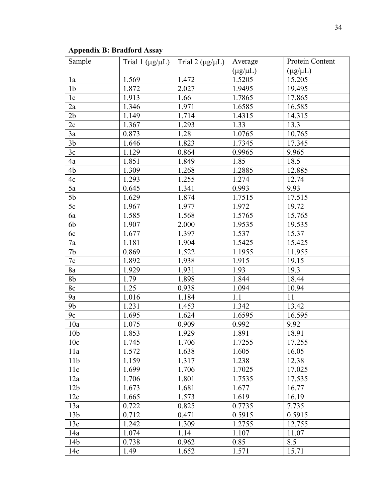| Sample          | Trial 1 $(\mu g/\mu L)$ | Trial 2 ( $\mu$ g/ $\mu$ L) | Average         | Protein Content |
|-----------------|-------------------------|-----------------------------|-----------------|-----------------|
|                 |                         |                             | $(\mu g/\mu L)$ | $(\mu g/\mu L)$ |
| 1a              | 1.569                   | 1.472                       | 1.5205          | 15.205          |
| 1 <sub>b</sub>  | 1.872                   | 2.027                       | 1.9495          | 19.495          |
| 1c              | 1.913                   | 1.66                        | 1.7865          | 17.865          |
| 2a              | 1.346                   | 1.971                       | 1.6585          | 16.585          |
| 2 <sub>b</sub>  | 1.149                   | 1.714                       | 1.4315          | 14.315          |
| 2c              | 1.367                   | 1.293                       | 1.33            | 13.3            |
| 3a              | 0.873                   | 1.28                        | 1.0765          | 10.765          |
| 3 <sub>b</sub>  | 1.646                   | 1.823                       | 1.7345          | 17.345          |
| 3c              | 1.129                   | 0.864                       | 0.9965          | 9.965           |
| 4a              | 1.851                   | 1.849                       | 1.85            | 18.5            |
| 4b              | 1.309                   | 1.268                       | 1.2885          | 12.885          |
| 4c              | 1.293                   | 1.255                       | 1.274           | 12.74           |
| 5a              | 0.645                   | 1.341                       | 0.993           | 9.93            |
| 5 <sub>b</sub>  | 1.629                   | 1.874                       | 1.7515          | 17.515          |
| 5c              | 1.967                   | 1.977                       | 1.972           | 19.72           |
| 6a              | 1.585                   | 1.568                       | 1.5765          | 15.765          |
| 6b              | 1.907                   | 2.000                       | 1.9535          | 19.535          |
| 6c              | 1.677                   | 1.397                       | 1.537           | 15.37           |
| 7a              | 1.181                   | 1.904                       | 1.5425          | 15.425          |
| 7b              | 0.869                   | 1.522                       | 1.1955          | 11.955          |
| 7c              | 1.892                   | 1.938                       | 1.915           | 19.15           |
| 8a              | 1.929                   | 1.931                       | 1.93            | 19.3            |
| 8 <sub>b</sub>  | 1.79                    | 1.898                       | 1.844           | 18.44           |
| 8c              | 1.25                    | 0.938                       | 1.094           | 10.94           |
| 9a              | 1.016                   | 1.184                       | 1.1             | 11              |
| 9 <sub>b</sub>  | 1.231                   | 1.453                       | 1.342           | 13.42           |
| 9c              | 1.695                   | 1.624                       | 1.6595          | 16.595          |
| 10a             | 1.075                   | 0.909                       | 0.992           | 9.92            |
| 10 <sub>b</sub> | 1.853                   | 1.929                       | 1.891           | 18.91           |
| 10c             | 1.745                   | 1.706                       | 1.7255          | 17.255          |
| 11a             | 1.572                   | 1.638                       | 1.605           | 16.05           |
| 11 <sub>b</sub> | 1.159                   | 1.317                       | 1.238           | 12.38           |
| 11c             | 1.699                   | 1.706                       | 1.7025          | 17.025          |
| 12a             | 1.706                   | 1.801                       | 1.7535          | 17.535          |
| 12 <sub>b</sub> | 1.673                   | 1.681                       | 1.677           | 16.77           |
| 12c             | 1.665                   | 1.573                       | 1.619           | 16.19           |
| 13a             | 0.722                   | 0.825                       | 0.7735          | 7.735           |
| 13 <sub>b</sub> | 0.712                   | 0.471                       | 0.5915          | 0.5915          |
| 13c             | 1.242                   | 1.309                       | 1.2755          | 12.755          |
| 14a             | 1.074                   | 1.14                        | 1.107           | 11.07           |
| 14 <sub>b</sub> | 0.738                   | 0.962                       | 0.85            | 8.5             |
| 14c             | 1.49                    | 1.652                       | 1.571           | 15.71           |

## **Appendix B: Bradford Assay**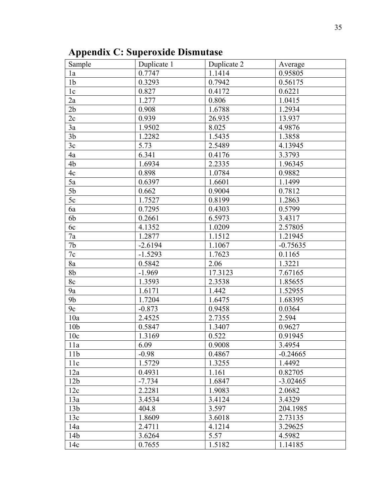**Appendix C: Superoxide Dismutase**

| Sample          | Duplicate 1 | Duplicate 2 | Average             |
|-----------------|-------------|-------------|---------------------|
| 1a              | 0.7747      | 1.1414      | 0.95805             |
| 1 <sub>b</sub>  | 0.3293      | 0.7942      | 0.56175             |
| 1 <sub>c</sub>  | 0.827       | 0.4172      | 0.6221              |
| 2a              | 1.277       | 0.806       | 1.0415              |
| 2 <sub>b</sub>  | 0.908       | 1.6788      | 1.2934              |
| 2c              | 0.939       | 26.935      | 13.937              |
| 3a              | 1.9502      | 8.025       | 4.9876              |
| 3 <sub>b</sub>  | 1.2282      | 1.5435      | 1.3858              |
| 3c              | 5.73        | 2.5489      | 4.13945             |
| 4a              | 6.341       | 0.4176      | 3.3793              |
| 4b              | 1.6934      | 2.2335      | 1.96345             |
| 4c              | 0.898       | 1.0784      | 0.9882              |
| 5a              | 0.6397      | 1.6601      | 1.1499              |
| 5 <sub>b</sub>  | 0.662       | 0.9004      | 0.7812              |
| 5c              | 1.7527      | 0.8199      | 1.2863              |
| 6a              | 0.7295      | 0.4303      | 0.5799              |
| 6b              | 0.2661      | 6.5973      | 3.4317              |
| 6c              | 4.1352      | 1.0209      | 2.57805             |
| 7a              | 1.2877      | 1.1512      | 1.21945             |
| 7b              | $-2.6194$   | 1.1067      | $-0.75635$          |
| $7\mathrm{c}$   | $-1.5293$   | 1.7623      | 0.1165              |
| 8a              | 0.5842      | 2.06        | $\overline{1.3221}$ |
| 8b              | $-1.969$    | 17.3123     | 7.67165             |
| 8c              | 1.3593      | 2.3538      | 1.85655             |
| 9a              | 1.6171      | 1.442       | 1.52955             |
| 9 <sub>b</sub>  | 1.7204      | 1.6475      | 1.68395             |
| 9c              | $-0.873$    | 0.9458      | 0.0364              |
| 10a             | 2.4525      | 2.7355      | 2.594               |
| 10 <sub>b</sub> | 0.5847      | 1.3407      | 0.9627              |
| 10c             | 1.3169      | 0.522       | 0.91945             |
| 11a             | 6.09        | 0.9008      | 3.4954              |
| 11 <sub>b</sub> | $-0.98$     | 0.4867      | $-0.24665$          |
| 11c             | 1.5729      | 1.3255      | 1.4492              |
| 12a             | 0.4931      | 1.161       | 0.82705             |
| 12 <sub>b</sub> | $-7.734$    | 1.6847      | $-3.02465$          |
| 12c             | 2.2281      | 1.9083      | 2.0682              |
| 13a             | 3.4534      | 3.4124      | 3.4329              |
| 13 <sub>b</sub> | 404.8       | 3.597       | 204.1985            |
| 13c             | 1.8609      | 3.6018      | 2.73135             |
| 14a             | 2.4711      | 4.1214      | 3.29625             |
| 14 <sub>b</sub> | 3.6264      | 5.57        | 4.5982              |
| 14c             | 0.7655      | 1.5182      | 1.14185             |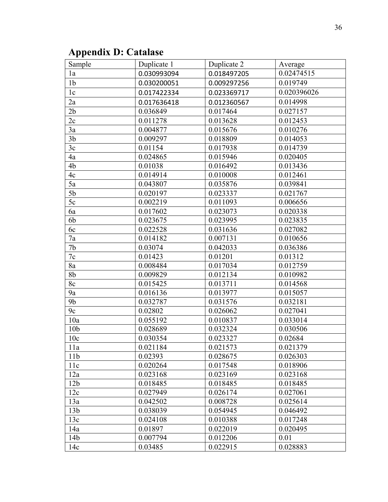# **Appendix D: Catalase**

| Sample          | Duplicate 1 | Duplicate 2 | Average     |
|-----------------|-------------|-------------|-------------|
| 1a              | 0.030993094 | 0.018497205 | 0.02474515  |
| 1 <sub>b</sub>  | 0.030200051 | 0.009297256 | 0.019749    |
| 1c              | 0.017422334 | 0.023369717 | 0.020396026 |
| 2a              | 0.017636418 | 0.012360567 | 0.014998    |
| 2 <sub>b</sub>  | 0.036849    | 0.017464    | 0.027157    |
| 2c              | 0.011278    | 0.013628    | 0.012453    |
| 3a              | 0.004877    | 0.015676    | 0.010276    |
| 3 <sub>b</sub>  | 0.009297    | 0.018809    | 0.014053    |
| 3c              | 0.01154     | 0.017938    | 0.014739    |
| 4a              | 0.024865    | 0.015946    | 0.020405    |
| 4b              | 0.01038     | 0.016492    | 0.013436    |
| 4c              | 0.014914    | 0.010008    | 0.012461    |
| 5a              | 0.043807    | 0.035876    | 0.039841    |
| 5 <sub>b</sub>  | 0.020197    | 0.023337    | 0.021767    |
| 5c              | 0.002219    | 0.011093    | 0.006656    |
| 6a              | 0.017602    | 0.023073    | 0.020338    |
| 6b              | 0.023675    | 0.023995    | 0.023835    |
| 6c              | 0.022528    | 0.031636    | 0.027082    |
| 7a              | 0.014182    | 0.007131    | 0.010656    |
| 7 <sub>b</sub>  | 0.03074     | 0.042033    | 0.036386    |
| $7\mathrm{c}$   | 0.01423     | 0.01201     | 0.01312     |
| 8a              | 0.008484    | 0.017034    | 0.012759    |
| 8 <sub>b</sub>  | 0.009829    | 0.012134    | 0.010982    |
| 8c              | 0.015425    | 0.013711    | 0.014568    |
| 9a              | 0.016136    | 0.013977    | 0.015057    |
| 9 <sub>b</sub>  | 0.032787    | 0.031576    | 0.032181    |
| 9c              | 0.02802     | 0.026062    | 0.027041    |
| 10a             | 0.055192    | 0.010837    | 0.033014    |
| 10 <sub>b</sub> | 0.028689    | 0.032324    | 0.030506    |
| 10c             | 0.030354    | 0.023327    | 0.02684     |
| 11a             | 0.021184    | 0.021573    | 0.021379    |
| 11 <sub>b</sub> | 0.02393     | 0.028675    | 0.026303    |
| 11c             | 0.020264    | 0.017548    | 0.018906    |
| 12a             | 0.023168    | 0.023169    | 0.023168    |
| 12 <sub>b</sub> | 0.018485    | 0.018485    | 0.018485    |
| 12c             | 0.027949    | 0.026174    | 0.027061    |
| 13a             | 0.042502    | 0.008728    | 0.025614    |
| 13 <sub>b</sub> | 0.038039    | 0.054945    | 0.046492    |
| 13c             | 0.024108    | 0.010388    | 0.017248    |
| 14a             | 0.01897     | 0.022019    | 0.020495    |
| 14b             | 0.007794    | 0.012206    | 0.01        |
| 14c             | 0.03485     | 0.022915    | 0.028883    |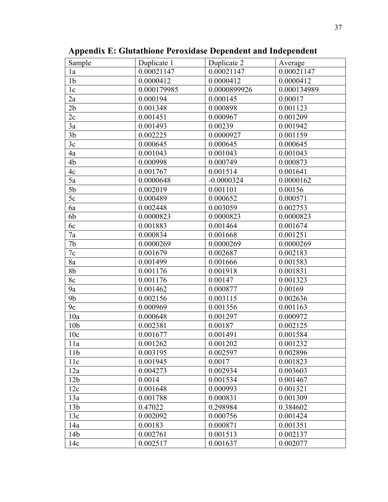| Sample          | Duplicate 1 | Duplicate 2  | Average     |
|-----------------|-------------|--------------|-------------|
| 1a              | 0.00021147  | 0.00021147   | 0.00021147  |
| 1 <sub>b</sub>  | 0.0000412   | 0.0000412    | 0.0000412   |
| 1 <sub>c</sub>  | 0.000179985 | 0.0000899926 | 0.000134989 |
| 2a              | 0.000194    | 0.000145     | 0.00017     |
| 2 <sub>b</sub>  | 0.001348    | 0.000898     | 0.001123    |
| 2c              | 0.001451    | 0.000967     | 0.001209    |
| 3a              | 0.001493    | 0.00239      | 0.001942    |
| 3 <sub>b</sub>  | 0.002225    | 0.0000927    | 0.001159    |
| 3c              | 0.000645    | 0.000645     | 0.000645    |
| 4a              | 0.001043    | 0.001043     | 0.001043    |
| 4b              | 0.000998    | 0.000749     | 0.000873    |
| 4c              | 0.001767    | 0.001514     | 0.001641    |
| 5a              | 0.0000648   | $-0.0000324$ | 0.0000162   |
| 5 <sub>b</sub>  | 0.002019    | 0.001101     | 0.00156     |
| 5c              | 0.000489    | 0.000652     | 0.000571    |
| 6a              | 0.002448    | 0.003059     | 0.002753    |
| 6b              | 0.0000823   | 0.0000823    | 0.0000823   |
| 6c              | 0.001883    | 0.001464     | 0.001674    |
| 7a              | 0.000834    | 0.001668     | 0.001251    |
| 7 <sub>b</sub>  | 0.0000269   | 0.0000269    | 0.0000269   |
| $7\mathrm{c}$   | 0.001679    | 0.002687     | 0.002183    |
| 8a              | 0.001499    | 0.001666     | 0.001583    |
| 8 <sub>b</sub>  | 0.001176    | 0.001918     | 0.001831    |
| 8c              | 0.001176    | 0.00147      | 0.001323    |
| 9a              | 0.001462    | 0.000877     | 0.00169     |
| 9 <sub>b</sub>  | 0.002156    | 0.003115     | 0.002636    |
| 9c              | 0.000969    | 0.001356     | 0.001163    |
| 10a             | 0.000648    | 0.001297     | 0.000972    |
| 10 <sub>b</sub> | 0.002381    | 0.00187      | 0.002125    |
| 10c             | 0.001677    | 0.001491     | 0.001584    |
| 11a             | 0.001262    | 0.001202     | 0.001232    |
| 11 <sub>b</sub> | 0.003195    | 0.002597     | 0.002896    |
| 11c             | 0.001945    | 0.0017       | 0.001823    |
| 12a             | 0.004273    | 0.002934     | 0.003603    |
| 12 <sub>b</sub> | 0.0014      | 0.001534     | 0.001467    |
| 12c             | 0.001648    | 0.000993     | 0.001321    |
| 13a             | 0.001788    | 0.000831     | 0.001309    |
| 13 <sub>b</sub> | 0.47022     | 0.298984     | 0.384602    |
| 13c             | 0.002092    | 0.000756     | 0.001424    |
| 14a             | 0.00183     | 0.000871     | 0.001351    |
| 14 <sub>b</sub> | 0.002761    | 0.001513     | 0.002137    |
| 14c             | 0.002517    | 0.001637     | 0.002077    |
|                 |             |              |             |

**Appendix E: Glutathione Peroxidase Dependent and Independent**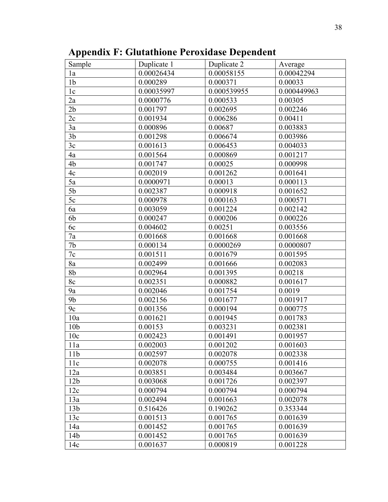| Sample          | Duplicate 1 | Duplicate 2 | Average     |
|-----------------|-------------|-------------|-------------|
| 1a              | 0.00026434  | 0.00058155  | 0.00042294  |
| 1 <sub>b</sub>  | 0.000289    | 0.000371    | 0.00033     |
| 1c              | 0.00035997  | 0.000539955 | 0.000449963 |
| 2a              | 0.0000776   | 0.000533    | 0.00305     |
| 2 <sub>b</sub>  | 0.001797    | 0.002695    | 0.002246    |
| 2c              | 0.001934    | 0.006286    | 0.00411     |
| 3a              | 0.000896    | 0.00687     | 0.003883    |
| 3 <sub>b</sub>  | 0.001298    | 0.006674    | 0.003986    |
| 3c              | 0.001613    | 0.006453    | 0.004033    |
| 4a              | 0.001564    | 0.000869    | 0.001217    |
| 4b              | 0.001747    | 0.00025     | 0.000998    |
| 4c              | 0.002019    | 0.001262    | 0.001641    |
| 5a              | 0.0000971   | 0.00013     | 0.000113    |
| 5 <sub>b</sub>  | 0.002387    | 0.000918    | 0.001652    |
| 5c              | 0.000978    | 0.000163    | 0.000571    |
| 6a              | 0.003059    | 0.001224    | 0.002142    |
| 6b              | 0.000247    | 0.000206    | 0.000226    |
| 6c              | 0.004602    | 0.00251     | 0.003556    |
| 7a              | 0.001668    | 0.001668    | 0.001668    |
| 7b              | 0.000134    | 0.0000269   | 0.0000807   |
| $7\mathrm{c}$   | 0.001511    | 0.001679    | 0.001595    |
| 8a              | 0.002499    | 0.001666    | 0.002083    |
| 8b              | 0.002964    | 0.001395    | 0.00218     |
| 8c              | 0.002351    | 0.000882    | 0.001617    |
| 9a              | 0.002046    | 0.001754    | 0.0019      |
| 9 <sub>b</sub>  | 0.002156    | 0.001677    | 0.001917    |
| 9c              | 0.001356    | 0.000194    | 0.000775    |
| 10a             | 0.001621    | 0.001945    | 0.001783    |
| 10 <sub>b</sub> | 0.00153     | 0.003231    | 0.002381    |
| 10c             | 0.002423    | 0.001491    | 0.001957    |
| 11a             | 0.002003    | 0.001202    | 0.001603    |
| 11 <sub>b</sub> | 0.002597    | 0.002078    | 0.002338    |
| 11c             | 0.002078    | 0.000755    | 0.001416    |
| 12a             | 0.003851    | 0.003484    | 0.003667    |
| 12 <sub>b</sub> | 0.003068    | 0.001726    | 0.002397    |
| 12c             | 0.000794    | 0.000794    | 0.000794    |
| 13a             | 0.002494    | 0.001663    | 0.002078    |
| 13 <sub>b</sub> | 0.516426    | 0.190262    | 0.353344    |
| 13c             | 0.001513    | 0.001765    | 0.001639    |
| 14a             | 0.001452    | 0.001765    | 0.001639    |
| 14 <sub>b</sub> | 0.001452    | 0.001765    | 0.001639    |
| 14c             | 0.001637    | 0.000819    | 0.001228    |

# **Appendix F: Glutathione Peroxidase Dependent**